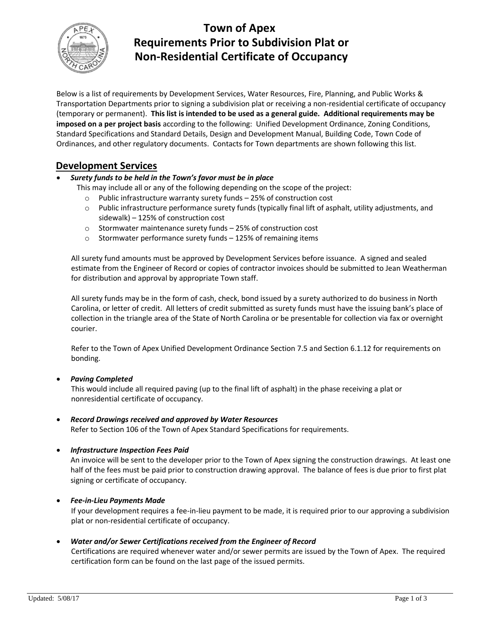

## **Town of Apex Requirements Prior to Subdivision Plat or Non-Residential Certificate of Occupancy**

Below is a list of requirements by Development Services, Water Resources, Fire, Planning, and Public Works & Transportation Departments prior to signing a subdivision plat or receiving a non-residential certificate of occupancy (temporary or permanent). **This list is intended to be used as a general guide. Additional requirements may be imposed on a per project basis** according to the following: Unified Development Ordinance, Zoning Conditions, Standard Specifications and Standard Details, Design and Development Manual, Building Code, Town Code of Ordinances, and other regulatory documents. Contacts for Town departments are shown following this list.

## **Development Services**

#### *Surety funds to be held in the Town's favor must be in place*

This may include all or any of the following depending on the scope of the project:

- o Public infrastructure warranty surety funds 25% of construction cost
- o Public infrastructure performance surety funds (typically final lift of asphalt, utility adjustments, and sidewalk) – 125% of construction cost
- o Stormwater maintenance surety funds 25% of construction cost
- o Stormwater performance surety funds 125% of remaining items

All surety fund amounts must be approved by Development Services before issuance. A signed and sealed estimate from the Engineer of Record or copies of contractor invoices should be submitted to Jean Weatherman for distribution and approval by appropriate Town staff.

All surety funds may be in the form of cash, check, bond issued by a surety authorized to do business in North Carolina, or letter of credit. All letters of credit submitted as surety funds must have the issuing bank's place of collection in the triangle area of the State of North Carolina or be presentable for collection via fax or overnight courier.

Refer to the Town of Apex Unified Development Ordinance Section 7.5 and Section 6.1.12 for requirements on bonding.

#### *Paving Completed*

This would include all required paving (up to the final lift of asphalt) in the phase receiving a plat or nonresidential certificate of occupancy.

*Record Drawings received and approved by Water Resources*

Refer to Section 106 of the Town of Apex Standard Specifications for requirements.

*Infrastructure Inspection Fees Paid* 

An invoice will be sent to the developer prior to the Town of Apex signing the construction drawings. At least one half of the fees must be paid prior to construction drawing approval. The balance of fees is due prior to first plat signing or certificate of occupancy.

#### *Fee-in-Lieu Payments Made*

If your development requires a fee-in-lieu payment to be made, it is required prior to our approving a subdivision plat or non-residential certificate of occupancy.

#### *Water and/or Sewer Certifications received from the Engineer of Record*

Certifications are required whenever water and/or sewer permits are issued by the Town of Apex. The required certification form can be found on the last page of the issued permits.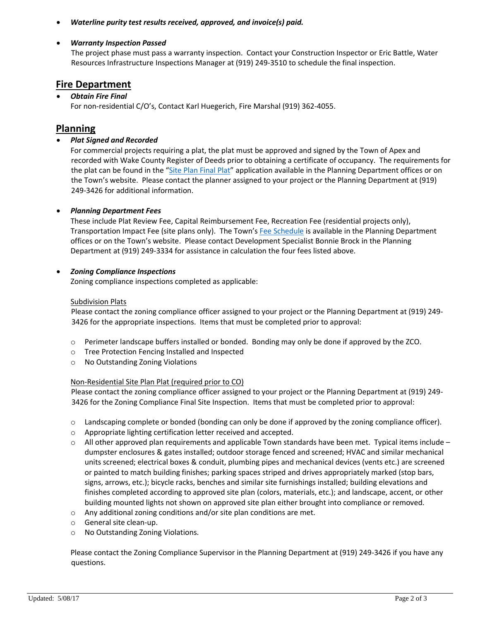*Waterline purity test results received, approved, and invoice(s) paid.*

#### *Warranty Inspection Passed*

The project phase must pass a warranty inspection. Contact your Construction Inspector or Eric Battle, Water Resources Infrastructure Inspections Manager at (919) 249-3510 to schedule the final inspection.

### **Fire Department**

#### *Obtain Fire Final*

For non-residential C/O's, Contact Karl Huegerich, Fire Marshal (919) 362-4055.

## **Planning**

#### *Plat Signed and Recorded*

For commercial projects requiring a plat, the plat must be approved and signed by the Town of Apex and recorded with Wake County Register of Deeds prior to obtaining a certificate of occupancy. The requirements for the plat can be found in the "[Site Plan Final Plat](http://www.apexnc.org/DocumentCenter/View/456/Site-Plan-Plat-PDF)" application available in the Planning Department offices or on the Town's website. Please contact the planner assigned to your project or the Planning Department at (919) 249-3426 for additional information.

#### *Planning Department Fees*

These include Plat Review Fee, Capital Reimbursement Fee, Recreation Fee (residential projects only), Transportation Impact Fee (site plans only). The Town's [Fee Schedule](http://www.apexnc.org/DocumentCenter/View/407/Fee-Schedule---FY-20172018--Effective-Revised-262018) is available in the Planning Department offices or on the Town's website[.](http://files.www.apexnc.org/docs/plan/dev_fees.pdf) Please contact Development Specialist Bonnie Brock in the Planning Department at (919) 249-3334 for assistance in calculation the four fees listed above.

#### *Zoning Compliance Inspections*

Zoning compliance inspections completed as applicable:

#### Subdivision Plats

Please contact the zoning compliance officer assigned to your project or the Planning Department at (919) 249- 3426 for the appropriate inspections. Items that must be completed prior to approval:

- o Perimeter landscape buffers installed or bonded. Bonding may only be done if approved by the ZCO.
- o Tree Protection Fencing Installed and Inspected
- o No Outstanding Zoning Violations

#### Non-Residential Site Plan Plat (required prior to CO)

Please contact the zoning compliance officer assigned to your project or the Planning Department at (919) 249- 3426 for the Zoning Compliance Final Site Inspection. Items that must be completed prior to approval:

- o Landscaping complete or bonded (bonding can only be done if approved by the zoning compliance officer).
- o Appropriate lighting certification letter received and accepted.
- $\circ$  All other approved plan requirements and applicable Town standards have been met. Typical items include dumpster enclosures & gates installed; outdoor storage fenced and screened; HVAC and similar mechanical units screened; electrical boxes & conduit, plumbing pipes and mechanical devices (vents etc.) are screened or painted to match building finishes; parking spaces striped and drives appropriately marked (stop bars, signs, arrows, etc.); bicycle racks, benches and similar site furnishings installed; building elevations and finishes completed according to approved site plan (colors, materials, etc.); and landscape, accent, or other building mounted lights not shown on approved site plan either brought into compliance or removed.
- o Any additional zoning conditions and/or site plan conditions are met.
- o General site clean-up.
- o No Outstanding Zoning Violations.

Please contact the Zoning Compliance Supervisor in the Planning Department at (919) 249-3426 if you have any questions.